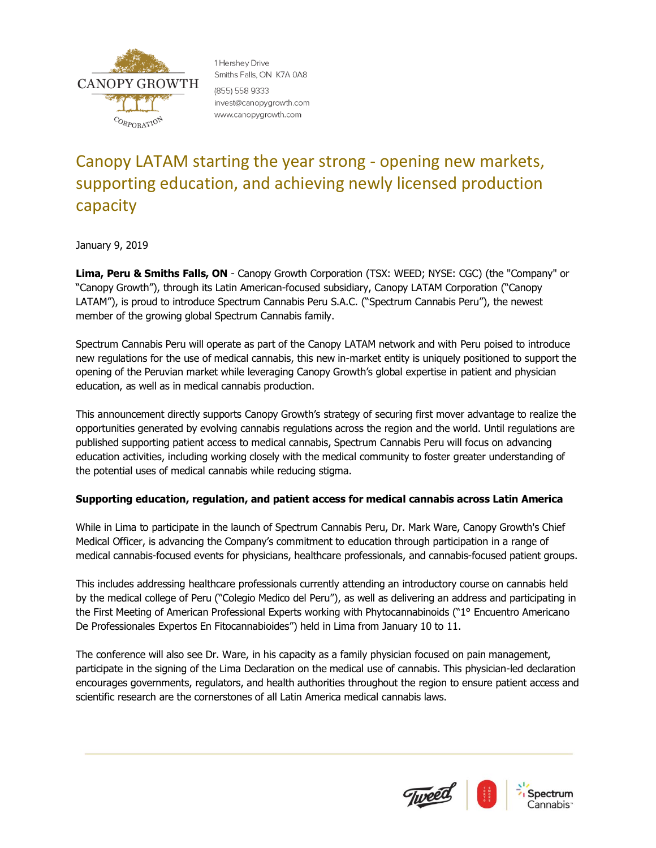

1 Hershev Drive Smiths Falls, ON K7A 0A8 (855) 558 9333 invest@canopygrowth.com www.canopygrowth.com

# Canopy LATAM starting the year strong - opening new markets, supporting education, and achieving newly licensed production capacity

January 9, 2019

**Lima, Peru & Smiths Falls, ON** - Canopy Growth Corporation (TSX: WEED; NYSE: CGC) (the "Company" or "Canopy Growth"), through its Latin American-focused subsidiary, Canopy LATAM Corporation ("Canopy LATAM"), is proud to introduce Spectrum Cannabis Peru S.A.C. ("Spectrum Cannabis Peru"), the newest member of the growing global Spectrum Cannabis family.

Spectrum Cannabis Peru will operate as part of the Canopy LATAM network and with Peru poised to introduce new regulations for the use of medical cannabis, this new in-market entity is uniquely positioned to support the opening of the Peruvian market while leveraging Canopy Growth's global expertise in patient and physician education, as well as in medical cannabis production.

This announcement directly supports Canopy Growth's strategy of securing first mover advantage to realize the opportunities generated by evolving cannabis regulations across the region and the world. Until regulations are published supporting patient access to medical cannabis, Spectrum Cannabis Peru will focus on advancing education activities, including working closely with the medical community to foster greater understanding of the potential uses of medical cannabis while reducing stigma.

# **Supporting education, regulation, and patient access for medical cannabis across Latin America**

While in Lima to participate in the launch of Spectrum Cannabis Peru, Dr. Mark Ware, Canopy Growth's Chief Medical Officer, is advancing the Company's commitment to education through participation in a range of medical cannabis-focused events for physicians, healthcare professionals, and cannabis-focused patient groups.

This includes addressing healthcare professionals currently attending an introductory course on cannabis held by the medical college of Peru ("Colegio Medico del Peru"), as well as delivering an address and participating in the First Meeting of American Professional Experts working with Phytocannabinoids ("1° Encuentro Americano De Professionales Expertos En Fitocannabioides") held in Lima from January 10 to 11.

The conference will also see Dr. Ware, in his capacity as a family physician focused on pain management, participate in the signing of the Lima Declaration on the medical use of cannabis. This physician-led declaration encourages governments, regulators, and health authorities throughout the region to ensure patient access and scientific research are the cornerstones of all Latin America medical cannabis laws.

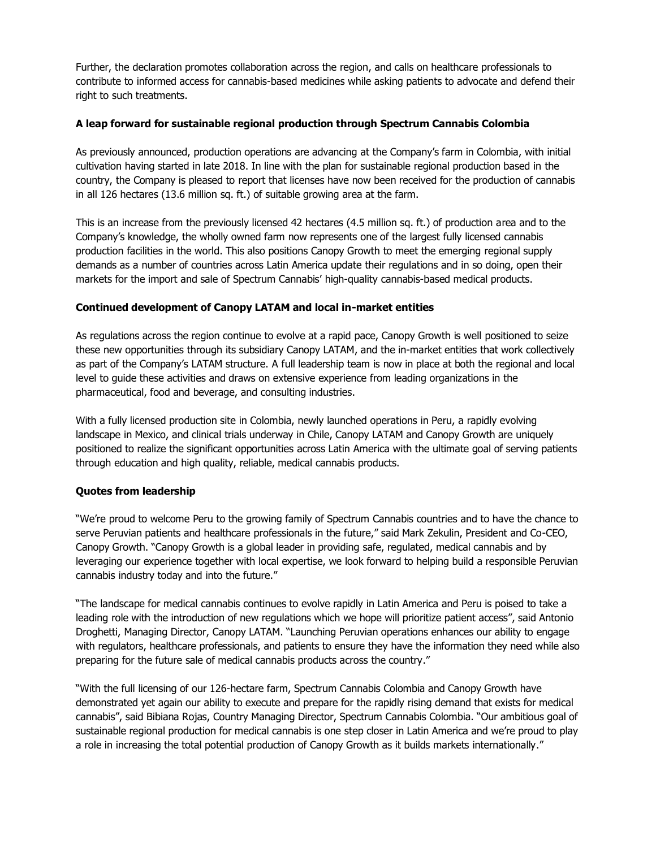Further, the declaration promotes collaboration across the region, and calls on healthcare professionals to contribute to informed access for cannabis-based medicines while asking patients to advocate and defend their right to such treatments.

## **A leap forward for sustainable regional production through Spectrum Cannabis Colombia**

As previously announced, production operations are advancing at the Company's farm in Colombia, with initial cultivation having started in late 2018. In line with the plan for sustainable regional production based in the country, the Company is pleased to report that licenses have now been received for the production of cannabis in all 126 hectares (13.6 million sq. ft.) of suitable growing area at the farm.

This is an increase from the previously licensed 42 hectares (4.5 million sq. ft.) of production area and to the Company's knowledge, the wholly owned farm now represents one of the largest fully licensed cannabis production facilities in the world. This also positions Canopy Growth to meet the emerging regional supply demands as a number of countries across Latin America update their regulations and in so doing, open their markets for the import and sale of Spectrum Cannabis' high-quality cannabis-based medical products.

### **Continued development of Canopy LATAM and local in-market entities**

As regulations across the region continue to evolve at a rapid pace, Canopy Growth is well positioned to seize these new opportunities through its subsidiary Canopy LATAM, and the in-market entities that work collectively as part of the Company's LATAM structure. A full leadership team is now in place at both the regional and local level to guide these activities and draws on extensive experience from leading organizations in the pharmaceutical, food and beverage, and consulting industries.

With a fully licensed production site in Colombia, newly launched operations in Peru, a rapidly evolving landscape in Mexico, and clinical trials underway in Chile, Canopy LATAM and Canopy Growth are uniquely positioned to realize the significant opportunities across Latin America with the ultimate goal of serving patients through education and high quality, reliable, medical cannabis products.

# **Quotes from leadership**

"We're proud to welcome Peru to the growing family of Spectrum Cannabis countries and to have the chance to serve Peruvian patients and healthcare professionals in the future," said Mark Zekulin, President and Co-CEO, Canopy Growth. "Canopy Growth is a global leader in providing safe, regulated, medical cannabis and by leveraging our experience together with local expertise, we look forward to helping build a responsible Peruvian cannabis industry today and into the future."

"The landscape for medical cannabis continues to evolve rapidly in Latin America and Peru is poised to take a leading role with the introduction of new regulations which we hope will prioritize patient access", said Antonio Droghetti, Managing Director, Canopy LATAM. "Launching Peruvian operations enhances our ability to engage with regulators, healthcare professionals, and patients to ensure they have the information they need while also preparing for the future sale of medical cannabis products across the country."

"With the full licensing of our 126-hectare farm, Spectrum Cannabis Colombia and Canopy Growth have demonstrated yet again our ability to execute and prepare for the rapidly rising demand that exists for medical cannabis", said Bibiana Rojas, Country Managing Director, Spectrum Cannabis Colombia. "Our ambitious goal of sustainable regional production for medical cannabis is one step closer in Latin America and we're proud to play a role in increasing the total potential production of Canopy Growth as it builds markets internationally."